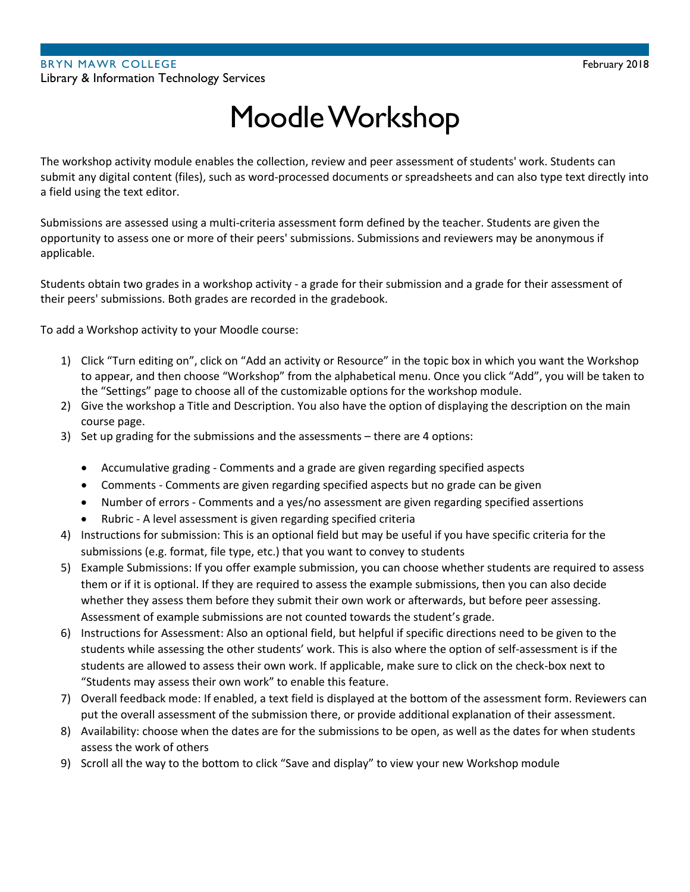# Moodle Workshop

The workshop activity module enables the collection, review and peer assessment of students' work. Students can submit any digital content (files), such as word-processed documents or spreadsheets and can also type text directly into a field using the text editor.

Submissions are assessed using a multi-criteria assessment form defined by the teacher. Students are given the opportunity to assess one or more of their peers' submissions. Submissions and reviewers may be anonymous if applicable.

Students obtain two grades in a workshop activity - a grade for their submission and a grade for their assessment of their peers' submissions. Both grades are recorded in the gradebook.

To add a Workshop activity to your Moodle course:

- 1) Click "Turn editing on", click on "Add an activity or Resource" in the topic box in which you want the Workshop to appear, and then choose "Workshop" from the alphabetical menu. Once you click "Add", you will be taken to the "Settings" page to choose all of the customizable options for the workshop module.
- 2) Give the workshop a Title and Description. You also have the option of displaying the description on the main course page.
- 3) Set up grading for the submissions and the assessments there are 4 options:
	- Accumulative grading Comments and a grade are given regarding specified aspects
	- Comments Comments are given regarding specified aspects but no grade can be given
	- Number of errors Comments and a yes/no assessment are given regarding specified assertions
	- Rubric A level assessment is given regarding specified criteria
- 4) Instructions for submission: This is an optional field but may be useful if you have specific criteria for the submissions (e.g. format, file type, etc.) that you want to convey to students
- 5) Example Submissions: If you offer example submission, you can choose whether students are required to assess them or if it is optional. If they are required to assess the example submissions, then you can also decide whether they assess them before they submit their own work or afterwards, but before peer assessing. Assessment of example submissions are not counted towards the student's grade.
- 6) Instructions for Assessment: Also an optional field, but helpful if specific directions need to be given to the students while assessing the other students' work. This is also where the option of self-assessment is if the students are allowed to assess their own work. If applicable, make sure to click on the check-box next to "Students may assess their own work" to enable this feature.
- 7) Overall feedback mode: If enabled, a text field is displayed at the bottom of the assessment form. Reviewers can put the overall assessment of the submission there, or provide additional explanation of their assessment.
- 8) Availability: choose when the dates are for the submissions to be open, as well as the dates for when students assess the work of others
- 9) Scroll all the way to the bottom to click "Save and display" to view your new Workshop module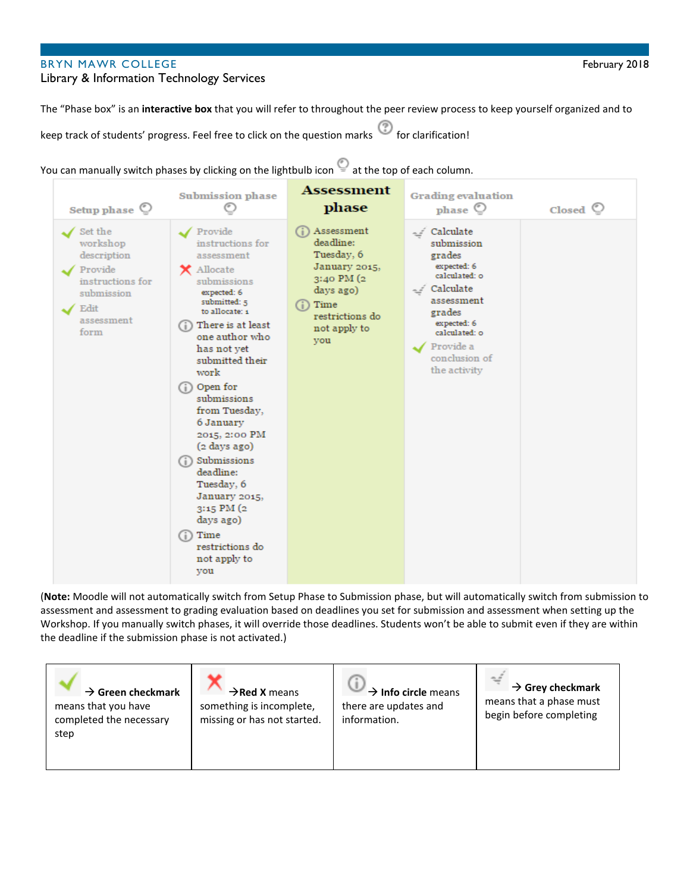## BRYN MAWR COLLEGE FEBRUARY 2018

#### Library & Information Technology Services

The "Phase box" is an **interactive box** that you will refer to throughout the peer review process to keep yourself organized and to

keep track of students' progress. Feel free to click on the question marks <sup>(2)</sup> for clarification!





(**Note:** Moodle will not automatically switch from Setup Phase to Submission phase, but will automatically switch from submission to assessment and assessment to grading evaluation based on deadlines you set for submission and assessment when setting up the Workshop. If you manually switch phases, it will override those deadlines. Students won't be able to submit even if they are within the deadline if the submission phase is not activated.)

| $\rightarrow$ Green checkmark<br>$\rightarrow$ Red X means<br>means that you have<br>something is incomplete,<br>missing or has not started.<br>completed the necessary<br>step | $\rightarrow$ Info circle means<br>there are updates and<br>information. | $\rightarrow$ Grey checkmark<br>means that a phase must<br>begin before completing |
|---------------------------------------------------------------------------------------------------------------------------------------------------------------------------------|--------------------------------------------------------------------------|------------------------------------------------------------------------------------|
|---------------------------------------------------------------------------------------------------------------------------------------------------------------------------------|--------------------------------------------------------------------------|------------------------------------------------------------------------------------|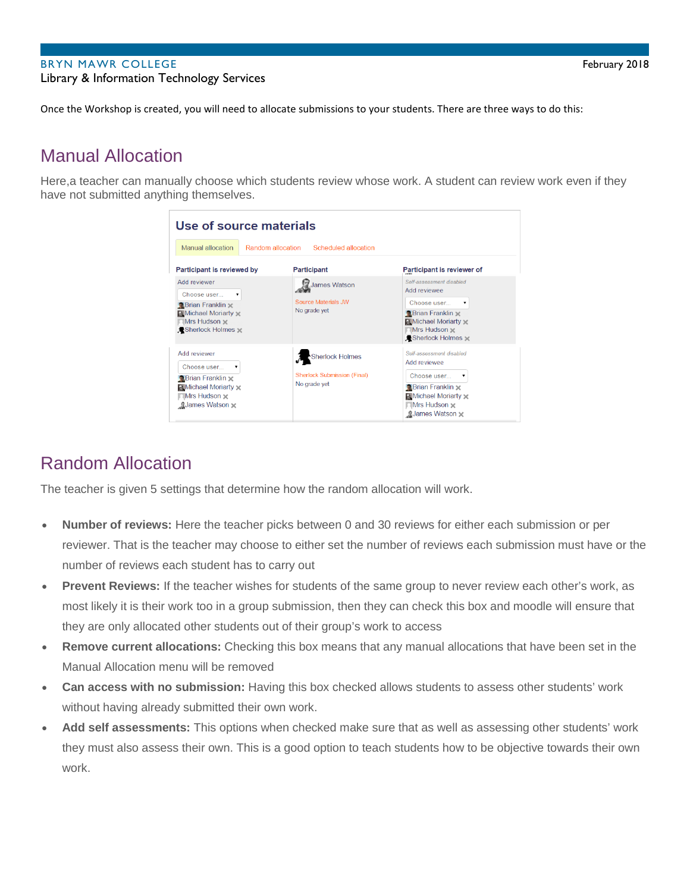### BRYN MAWR COLLEGE FEBRUARY 2018 Library & Information Technology Services

Once the Workshop is created, you will need to allocate submissions to your students. There are three ways to do this:

# Manual Allocation

Here,a teacher can manually choose which students review whose work. A student can review work even if they have not submitted anything themselves.

| Use of source materials                                                                                                     |                                                                       |                                                                                                                                                                |  |  |  |  |
|-----------------------------------------------------------------------------------------------------------------------------|-----------------------------------------------------------------------|----------------------------------------------------------------------------------------------------------------------------------------------------------------|--|--|--|--|
| Manual allocation<br>Random allocation<br>Scheduled allocation                                                              |                                                                       |                                                                                                                                                                |  |  |  |  |
| Participant is reviewed by                                                                                                  | Participant                                                           | Participant is reviewer of                                                                                                                                     |  |  |  |  |
| Add reviewer<br>Choose user<br>$\blacksquare$                                                                               | James Watson                                                          | Self-assessment disabled<br>Add reviewee                                                                                                                       |  |  |  |  |
| $\bigcirc$ Brian Franklin $\times$<br>Michael Moriarty x<br>Mrs Hudson $\times$<br>Sherlock Holmes                          | <b>Source Materials JW</b><br>No grade yet                            | Choose user<br>$\blacktriangledown$<br><b>Brian Franklin</b><br><b>A</b> Michael Moriarty<br>Mrs Hudson x<br><b>A-Sherlock Holmes</b>                          |  |  |  |  |
| Add reviewer<br>Choose user<br><b>Brian Franklin</b><br><b>A</b> Michael Moriarty<br>Mrs Hudson x<br><b>gJames Watson x</b> | Sherlock Holmes<br><b>Sherlock Submission (Final)</b><br>No grade vet | Self-assessment disabled<br>Add reviewee<br>Choose user<br>▼<br><b>Brian Franklin x</b><br><b>A Michael Moriarty x</b><br>Mrs Hudson x<br><b>gJames Watson</b> |  |  |  |  |

# Random Allocation

The teacher is given 5 settings that determine how the random allocation will work.

- **Number of reviews:** Here the teacher picks between 0 and 30 reviews for either each submission or per reviewer. That is the teacher may choose to either set the number of reviews each submission must have or the number of reviews each student has to carry out
- **Prevent Reviews:** If the teacher wishes for students of the same group to never review each other's work, as most likely it is their work too in a group submission, then they can check this box and moodle will ensure that they are only allocated other students out of their group's work to access
- **Remove current allocations:** Checking this box means that any manual allocations that have been set in the Manual Allocation menu will be removed
- **Can access with no submission:** Having this box checked allows students to assess other students' work without having already submitted their own work.
- **Add self assessments:** This options when checked make sure that as well as assessing other students' work they must also assess their own. This is a good option to teach students how to be objective towards their own work.